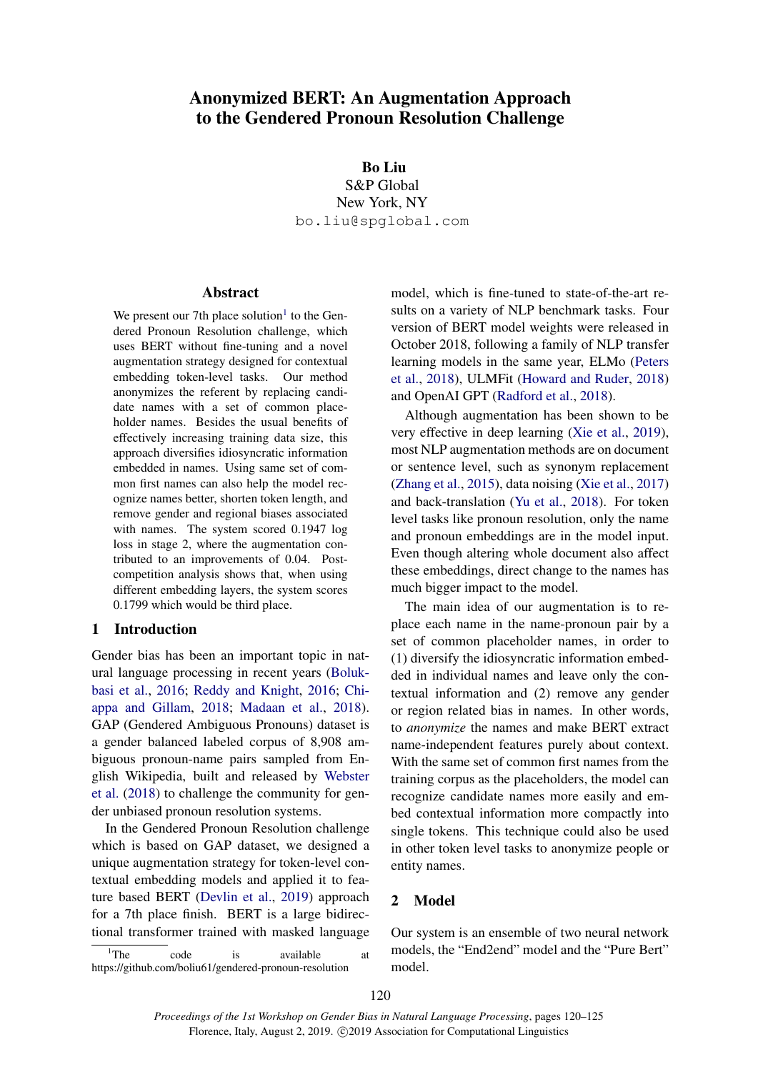# Anonymized BERT: An Augmentation Approach to the Gendered Pronoun Resolution Challenge

Bo Liu S&P Global New York, NY bo.liu@spglobal.com

#### Abstract

We present our 7th place solution<sup>[1](#page-0-0)</sup> to the Gendered Pronoun Resolution challenge, which uses BERT without fine-tuning and a novel augmentation strategy designed for contextual embedding token-level tasks. Our method anonymizes the referent by replacing candidate names with a set of common placeholder names. Besides the usual benefits of effectively increasing training data size, this approach diversifies idiosyncratic information embedded in names. Using same set of common first names can also help the model recognize names better, shorten token length, and remove gender and regional biases associated with names. The system scored 0.1947 log loss in stage 2, where the augmentation contributed to an improvements of 0.04. Postcompetition analysis shows that, when using different embedding layers, the system scores 0.1799 which would be third place.

# 1 Introduction

Gender bias has been an important topic in natural language processing in recent years [\(Boluk](#page-4-0)[basi et al.,](#page-4-0) [2016;](#page-4-0) [Reddy and Knight,](#page-5-0) [2016;](#page-5-0) [Chi](#page-4-1)[appa and Gillam,](#page-4-1) [2018;](#page-4-1) [Madaan et al.,](#page-4-2) [2018\)](#page-4-2). GAP (Gendered Ambiguous Pronouns) dataset is a gender balanced labeled corpus of 8,908 ambiguous pronoun-name pairs sampled from English Wikipedia, built and released by [Webster](#page-5-1) [et al.](#page-5-1) [\(2018\)](#page-5-1) to challenge the community for gender unbiased pronoun resolution systems.

In the Gendered Pronoun Resolution challenge which is based on GAP dataset, we designed a unique augmentation strategy for token-level contextual embedding models and applied it to feature based BERT [\(Devlin et al.,](#page-4-3) [2019\)](#page-4-3) approach for a 7th place finish. BERT is a large bidirectional transformer trained with masked language

<span id="page-0-0"></span> $1$ <sup>1</sup>The code is available at https://github.com/boliu61/gendered-pronoun-resolution

model, which is fine-tuned to state-of-the-art results on a variety of NLP benchmark tasks. Four version of BERT model weights were released in October 2018, following a family of NLP transfer learning models in the same year, ELMo [\(Peters](#page-5-2) [et al.,](#page-5-2) [2018\)](#page-5-2), ULMFit [\(Howard and Ruder,](#page-4-4) [2018\)](#page-4-4) and OpenAI GPT [\(Radford et al.,](#page-5-3) [2018\)](#page-5-3).

Although augmentation has been shown to be very effective in deep learning [\(Xie et al.,](#page-5-4) [2019\)](#page-5-4), most NLP augmentation methods are on document or sentence level, such as synonym replacement [\(Zhang et al.,](#page-5-5) [2015\)](#page-5-5), data noising [\(Xie et al.,](#page-5-6) [2017\)](#page-5-6) and back-translation [\(Yu et al.,](#page-5-7) [2018\)](#page-5-7). For token level tasks like pronoun resolution, only the name and pronoun embeddings are in the model input. Even though altering whole document also affect these embeddings, direct change to the names has much bigger impact to the model.

The main idea of our augmentation is to replace each name in the name-pronoun pair by a set of common placeholder names, in order to (1) diversify the idiosyncratic information embedded in individual names and leave only the contextual information and (2) remove any gender or region related bias in names. In other words, to *anonymize* the names and make BERT extract name-independent features purely about context. With the same set of common first names from the training corpus as the placeholders, the model can recognize candidate names more easily and embed contextual information more compactly into single tokens. This technique could also be used in other token level tasks to anonymize people or entity names.

# 2 Model

Our system is an ensemble of two neural network models, the "End2end" model and the "Pure Bert" model.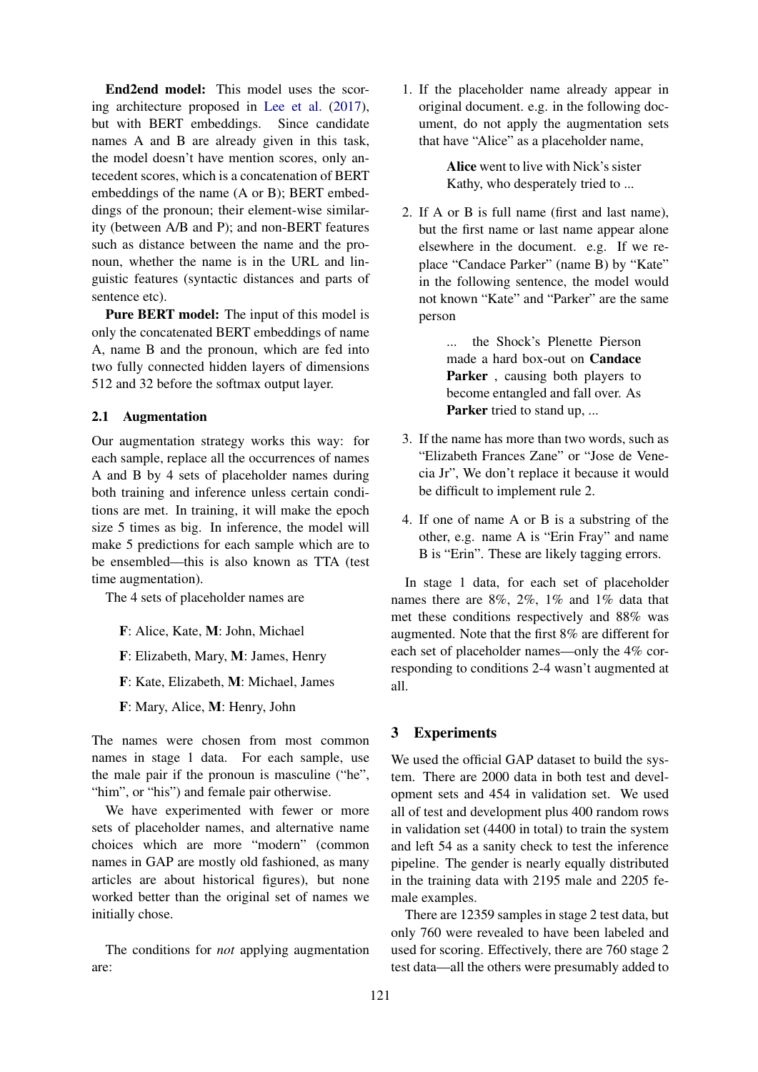End2end model: This model uses the scoring architecture proposed in [Lee et al.](#page-4-5) [\(2017\)](#page-4-5), but with BERT embeddings. Since candidate names A and B are already given in this task, the model doesn't have mention scores, only antecedent scores, which is a concatenation of BERT embeddings of the name (A or B); BERT embeddings of the pronoun; their element-wise similarity (between A/B and P); and non-BERT features such as distance between the name and the pronoun, whether the name is in the URL and linguistic features (syntactic distances and parts of sentence etc).

Pure BERT model: The input of this model is only the concatenated BERT embeddings of name A, name B and the pronoun, which are fed into two fully connected hidden layers of dimensions 512 and 32 before the softmax output layer.

#### 2.1 Augmentation

Our augmentation strategy works this way: for each sample, replace all the occurrences of names A and B by 4 sets of placeholder names during both training and inference unless certain conditions are met. In training, it will make the epoch size 5 times as big. In inference, the model will make 5 predictions for each sample which are to be ensembled—this is also known as TTA (test time augmentation).

The 4 sets of placeholder names are

- F: Alice, Kate, M: John, Michael
- F: Elizabeth, Mary, M: James, Henry
- F: Kate, Elizabeth, M: Michael, James
- F: Mary, Alice, M: Henry, John

The names were chosen from most common names in stage 1 data. For each sample, use the male pair if the pronoun is masculine ("he", "him", or "his") and female pair otherwise.

We have experimented with fewer or more sets of placeholder names, and alternative name choices which are more "modern" (common names in GAP are mostly old fashioned, as many articles are about historical figures), but none worked better than the original set of names we initially chose.

The conditions for *not* applying augmentation are:

1. If the placeholder name already appear in original document. e.g. in the following document, do not apply the augmentation sets that have "Alice" as a placeholder name,

> Alice went to live with Nick's sister Kathy, who desperately tried to ...

2. If A or B is full name (first and last name), but the first name or last name appear alone elsewhere in the document. e.g. If we replace "Candace Parker" (name B) by "Kate" in the following sentence, the model would not known "Kate" and "Parker" are the same person

> ... the Shock's Plenette Pierson made a hard box-out on Candace Parker, causing both players to become entangled and fall over. As Parker tried to stand up, ...

- 3. If the name has more than two words, such as "Elizabeth Frances Zane" or "Jose de Venecia Jr", We don't replace it because it would be difficult to implement rule 2.
- 4. If one of name A or B is a substring of the other, e.g. name A is "Erin Fray" and name B is "Erin". These are likely tagging errors.

In stage 1 data, for each set of placeholder names there are 8%, 2%, 1% and 1% data that met these conditions respectively and 88% was augmented. Note that the first 8% are different for each set of placeholder names—only the 4% corresponding to conditions 2-4 wasn't augmented at all.

# 3 Experiments

We used the official GAP dataset to build the system. There are 2000 data in both test and development sets and 454 in validation set. We used all of test and development plus 400 random rows in validation set (4400 in total) to train the system and left 54 as a sanity check to test the inference pipeline. The gender is nearly equally distributed in the training data with 2195 male and 2205 female examples.

There are 12359 samples in stage 2 test data, but only 760 were revealed to have been labeled and used for scoring. Effectively, there are 760 stage 2 test data—all the others were presumably added to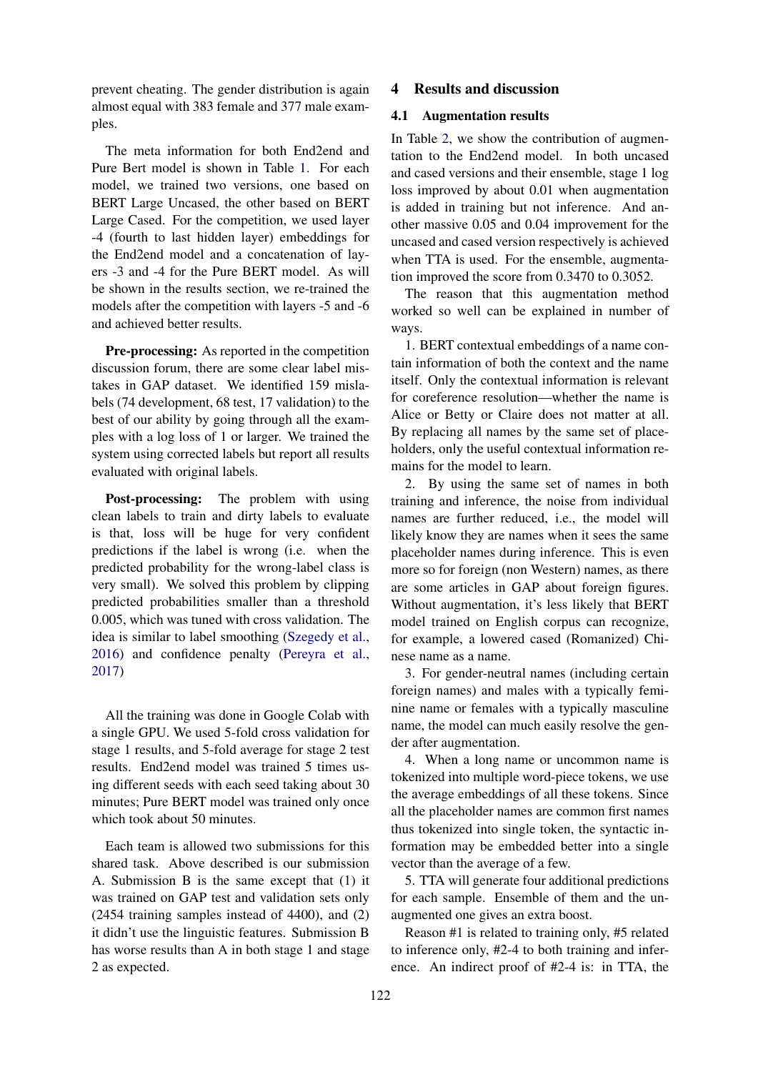prevent cheating. The gender distribution is again almost equal with 383 female and 377 male examples.

The meta information for both End2end and Pure Bert model is shown in Table [1.](#page-3-0) For each model, we trained two versions, one based on BERT Large Uncased, the other based on BERT Large Cased. For the competition, we used layer -4 (fourth to last hidden layer) embeddings for the End2end model and a concatenation of layers -3 and -4 for the Pure BERT model. As will be shown in the results section, we re-trained the models after the competition with layers -5 and -6 and achieved better results.

Pre-processing: As reported in the competition discussion forum, there are some clear label mistakes in GAP dataset. We identified 159 mislabels (74 development, 68 test, 17 validation) to the best of our ability by going through all the examples with a log loss of 1 or larger. We trained the system using corrected labels but report all results evaluated with original labels.

Post-processing: The problem with using clean labels to train and dirty labels to evaluate is that, loss will be huge for very confident predictions if the label is wrong (i.e. when the predicted probability for the wrong-label class is very small). We solved this problem by clipping predicted probabilities smaller than a threshold 0.005, which was tuned with cross validation. The idea is similar to label smoothing [\(Szegedy et al.,](#page-5-8) [2016\)](#page-5-8) and confidence penalty [\(Pereyra et al.,](#page-5-9) [2017\)](#page-5-9)

All the training was done in Google Colab with a single GPU. We used 5-fold cross validation for stage 1 results, and 5-fold average for stage 2 test results. End2end model was trained 5 times using different seeds with each seed taking about 30 minutes; Pure BERT model was trained only once which took about 50 minutes.

Each team is allowed two submissions for this shared task. Above described is our submission A. Submission B is the same except that (1) it was trained on GAP test and validation sets only (2454 training samples instead of 4400), and (2) it didn't use the linguistic features. Submission B has worse results than A in both stage 1 and stage 2 as expected.

#### 4 Results and discussion

# 4.1 Augmentation results

In Table [2,](#page-3-1) we show the contribution of augmentation to the End2end model. In both uncased and cased versions and their ensemble, stage 1 log loss improved by about 0.01 when augmentation is added in training but not inference. And another massive 0.05 and 0.04 improvement for the uncased and cased version respectively is achieved when TTA is used. For the ensemble, augmentation improved the score from 0.3470 to 0.3052.

The reason that this augmentation method worked so well can be explained in number of ways.

1. BERT contextual embeddings of a name contain information of both the context and the name itself. Only the contextual information is relevant for coreference resolution—whether the name is Alice or Betty or Claire does not matter at all. By replacing all names by the same set of placeholders, only the useful contextual information remains for the model to learn.

2. By using the same set of names in both training and inference, the noise from individual names are further reduced, i.e., the model will likely know they are names when it sees the same placeholder names during inference. This is even more so for foreign (non Western) names, as there are some articles in GAP about foreign figures. Without augmentation, it's less likely that BERT model trained on English corpus can recognize, for example, a lowered cased (Romanized) Chinese name as a name.

3. For gender-neutral names (including certain foreign names) and males with a typically feminine name or females with a typically masculine name, the model can much easily resolve the gender after augmentation.

4. When a long name or uncommon name is tokenized into multiple word-piece tokens, we use the average embeddings of all these tokens. Since all the placeholder names are common first names thus tokenized into single token, the syntactic information may be embedded better into a single vector than the average of a few.

5. TTA will generate four additional predictions for each sample. Ensemble of them and the unaugmented one gives an extra boost.

Reason #1 is related to training only, #5 related to inference only, #2-4 to both training and inference. An indirect proof of #2-4 is: in TTA, the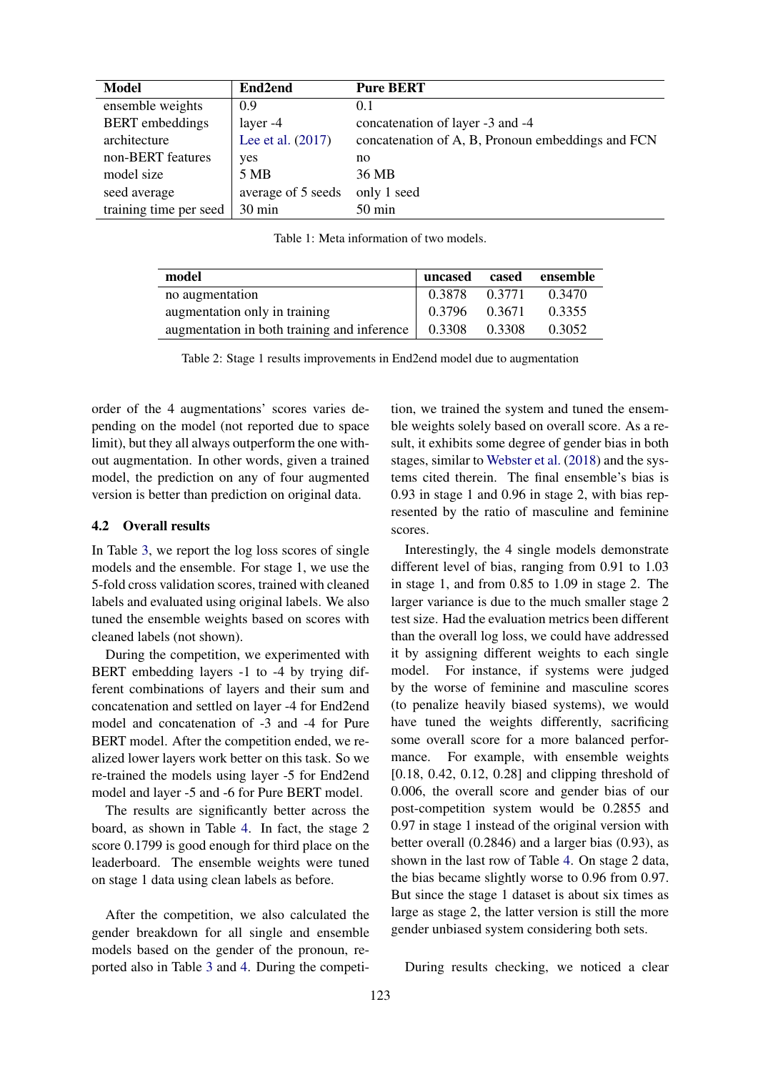<span id="page-3-0"></span>

| <b>Model</b>           | End2end             | <b>Pure BERT</b>                                  |
|------------------------|---------------------|---------------------------------------------------|
| ensemble weights       | 0.9                 | 0.1                                               |
| <b>BERT</b> embeddings | layer -4            | concatenation of layer -3 and -4                  |
| architecture           | Lee et al. $(2017)$ | concatenation of A, B, Pronoun embeddings and FCN |
| non-BERT features      | yes                 | no                                                |
| model size             | 5 MB                | 36 MB                                             |
| seed average           | average of 5 seeds  | only 1 seed                                       |
| training time per seed | 30 min              | $50$ min                                          |

Table 1: Meta information of two models.

<span id="page-3-1"></span>

| model                                       | uncased cased |        | ensemble |
|---------------------------------------------|---------------|--------|----------|
| no augmentation                             | 0.3878        | 0.3771 | 0.3470   |
| augmentation only in training               | 0.3796 0.3671 |        | 0.3355   |
| augmentation in both training and inference | 0.3308        | 0.3308 | 0.3052   |

Table 2: Stage 1 results improvements in End2end model due to augmentation

order of the 4 augmentations' scores varies depending on the model (not reported due to space limit), but they all always outperform the one without augmentation. In other words, given a trained model, the prediction on any of four augmented version is better than prediction on original data.

#### 4.2 Overall results

In Table [3,](#page-5-10) we report the log loss scores of single models and the ensemble. For stage 1, we use the 5-fold cross validation scores, trained with cleaned labels and evaluated using original labels. We also tuned the ensemble weights based on scores with cleaned labels (not shown).

During the competition, we experimented with BERT embedding layers -1 to -4 by trying different combinations of layers and their sum and concatenation and settled on layer -4 for End2end model and concatenation of -3 and -4 for Pure BERT model. After the competition ended, we realized lower layers work better on this task. So we re-trained the models using layer -5 for End2end model and layer -5 and -6 for Pure BERT model.

The results are significantly better across the board, as shown in Table [4.](#page-5-11) In fact, the stage 2 score 0.1799 is good enough for third place on the leaderboard. The ensemble weights were tuned on stage 1 data using clean labels as before.

After the competition, we also calculated the gender breakdown for all single and ensemble models based on the gender of the pronoun, reported also in Table [3](#page-5-10) and [4.](#page-5-11) During the competition, we trained the system and tuned the ensemble weights solely based on overall score. As a result, it exhibits some degree of gender bias in both stages, similar to [Webster et al.](#page-5-1) [\(2018\)](#page-5-1) and the systems cited therein. The final ensemble's bias is 0.93 in stage 1 and 0.96 in stage 2, with bias represented by the ratio of masculine and feminine scores.

Interestingly, the 4 single models demonstrate different level of bias, ranging from 0.91 to 1.03 in stage 1, and from 0.85 to 1.09 in stage 2. The larger variance is due to the much smaller stage 2 test size. Had the evaluation metrics been different than the overall log loss, we could have addressed it by assigning different weights to each single model. For instance, if systems were judged by the worse of feminine and masculine scores (to penalize heavily biased systems), we would have tuned the weights differently, sacrificing some overall score for a more balanced performance. For example, with ensemble weights [0.18, 0.42, 0.12, 0.28] and clipping threshold of 0.006, the overall score and gender bias of our post-competition system would be 0.2855 and 0.97 in stage 1 instead of the original version with better overall (0.2846) and a larger bias (0.93), as shown in the last row of Table [4.](#page-5-11) On stage 2 data, the bias became slightly worse to 0.96 from 0.97. But since the stage 1 dataset is about six times as large as stage 2, the latter version is still the more gender unbiased system considering both sets.

During results checking, we noticed a clear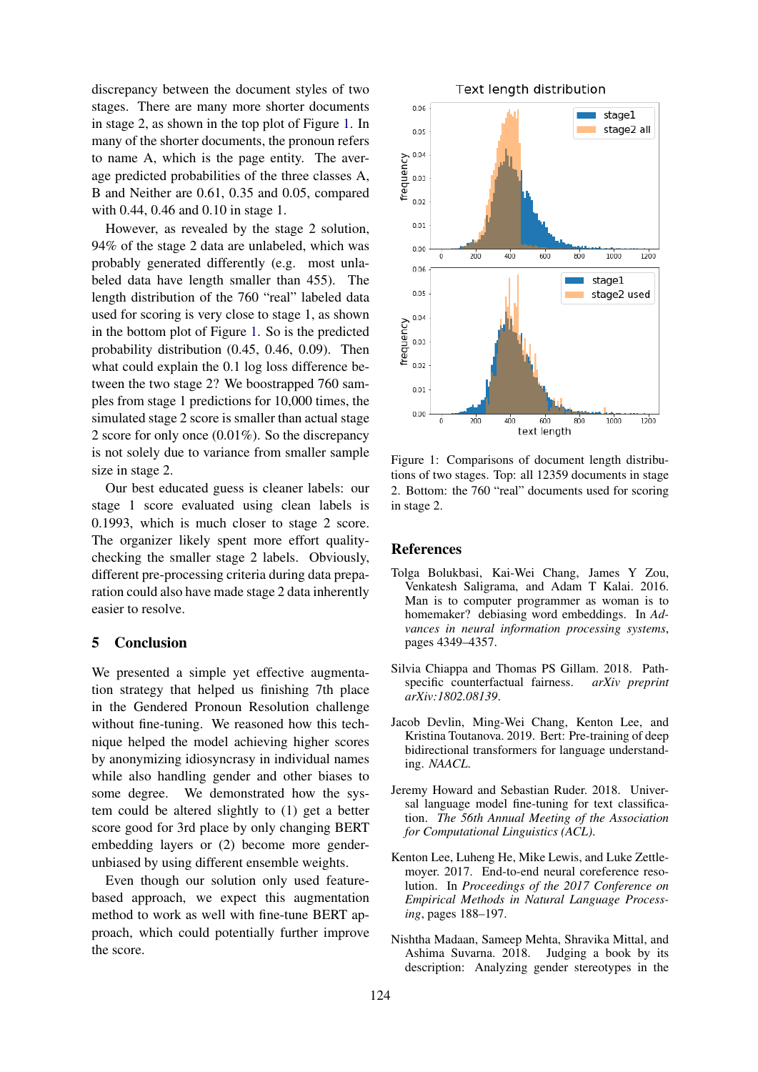discrepancy between the document styles of two stages. There are many more shorter documents in stage 2, as shown in the top plot of Figure [1.](#page-4-6) In many of the shorter documents, the pronoun refers to name A, which is the page entity. The average predicted probabilities of the three classes A, B and Neither are 0.61, 0.35 and 0.05, compared with 0.44, 0.46 and 0.10 in stage 1.

However, as revealed by the stage 2 solution, 94% of the stage 2 data are unlabeled, which was probably generated differently (e.g. most unlabeled data have length smaller than 455). The length distribution of the 760 "real" labeled data used for scoring is very close to stage 1, as shown in the bottom plot of Figure [1.](#page-4-6) So is the predicted probability distribution (0.45, 0.46, 0.09). Then what could explain the 0.1 log loss difference between the two stage 2? We boostrapped 760 samples from stage 1 predictions for 10,000 times, the simulated stage 2 score is smaller than actual stage 2 score for only once (0.01%). So the discrepancy is not solely due to variance from smaller sample size in stage 2.

Our best educated guess is cleaner labels: our stage 1 score evaluated using clean labels is 0.1993, which is much closer to stage 2 score. The organizer likely spent more effort qualitychecking the smaller stage 2 labels. Obviously, different pre-processing criteria during data preparation could also have made stage 2 data inherently easier to resolve.

#### 5 Conclusion

We presented a simple yet effective augmentation strategy that helped us finishing 7th place in the Gendered Pronoun Resolution challenge without fine-tuning. We reasoned how this technique helped the model achieving higher scores by anonymizing idiosyncrasy in individual names while also handling gender and other biases to some degree. We demonstrated how the system could be altered slightly to (1) get a better score good for 3rd place by only changing BERT embedding layers or (2) become more genderunbiased by using different ensemble weights.

Even though our solution only used featurebased approach, we expect this augmentation method to work as well with fine-tune BERT approach, which could potentially further improve the score.

<span id="page-4-6"></span>

Figure 1: Comparisons of document length distributions of two stages. Top: all 12359 documents in stage 2. Bottom: the 760 "real" documents used for scoring in stage 2.

#### References

- <span id="page-4-0"></span>Tolga Bolukbasi, Kai-Wei Chang, James Y Zou, Venkatesh Saligrama, and Adam T Kalai. 2016. Man is to computer programmer as woman is to homemaker? debiasing word embeddings. In *Advances in neural information processing systems*, pages 4349–4357.
- <span id="page-4-1"></span>Silvia Chiappa and Thomas PS Gillam. 2018. Pathspecific counterfactual fairness. *arXiv preprint arXiv:1802.08139*.
- <span id="page-4-3"></span>Jacob Devlin, Ming-Wei Chang, Kenton Lee, and Kristina Toutanova. 2019. Bert: Pre-training of deep bidirectional transformers for language understanding. *NAACL*.
- <span id="page-4-4"></span>Jeremy Howard and Sebastian Ruder. 2018. Universal language model fine-tuning for text classification. *The 56th Annual Meeting of the Association for Computational Linguistics (ACL)*.
- <span id="page-4-5"></span>Kenton Lee, Luheng He, Mike Lewis, and Luke Zettlemoyer. 2017. End-to-end neural coreference resolution. In *Proceedings of the 2017 Conference on Empirical Methods in Natural Language Processing*, pages 188–197.
- <span id="page-4-2"></span>Nishtha Madaan, Sameep Mehta, Shravika Mittal, and Ashima Suvarna. 2018. Judging a book by its description: Analyzing gender stereotypes in the